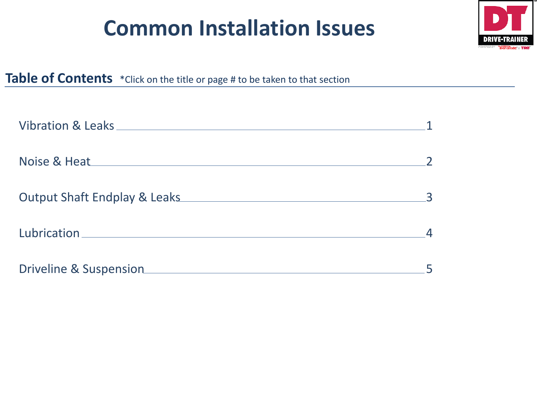# **Common Installation Issues**



### **Table of Contents** \*Click on the title or page # to be taken to that section

| Noise & Heat Management and the Moise & Heat |  |
|----------------------------------------------|--|
|                                              |  |
|                                              |  |
|                                              |  |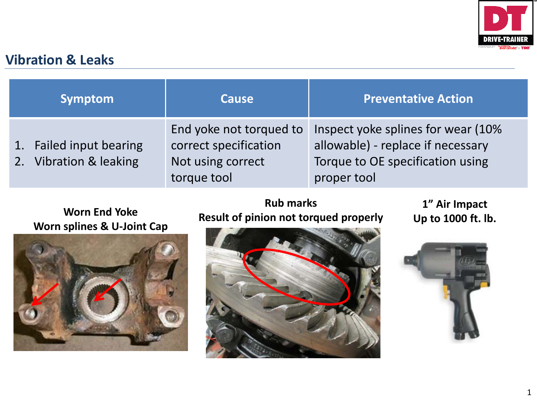

#### <span id="page-1-0"></span>**Vibration & Leaks**

| Symptom                                           | <b>Cause</b>                                                                         | <b>Preventative Action</b>                                                                                                  |
|---------------------------------------------------|--------------------------------------------------------------------------------------|-----------------------------------------------------------------------------------------------------------------------------|
| 1. Failed input bearing<br>2. Vibration & leaking | End yoke not torqued to<br>correct specification<br>Not using correct<br>torque tool | Inspect yoke splines for wear (10%)<br>allowable) - replace if necessary<br>Torque to OE specification using<br>proper tool |

# **Worn splines & U-Joint Cap**



#### Worn End Yoke<br>Result of pinion not torqued properly Up to 1000 ft. lb. **Rub marks**

**1" Air Impact**



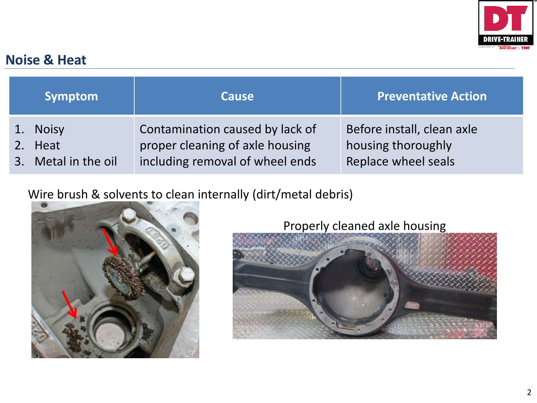

#### <span id="page-2-0"></span>**Noise & Heat**

| Symptom             | <b>Cause</b>                    | <b>Preventative Action</b> |
|---------------------|---------------------------------|----------------------------|
| 1. Noisy            | Contamination caused by lack of | Before install, clean axle |
| 2. Heat             | proper cleaning of axle housing | housing thoroughly         |
| 3. Metal in the oil | including removal of wheel ends | Replace wheel seals        |

#### Wire brush & solvents to clean internally (dirt/metal debris)



Properly cleaned axle housing

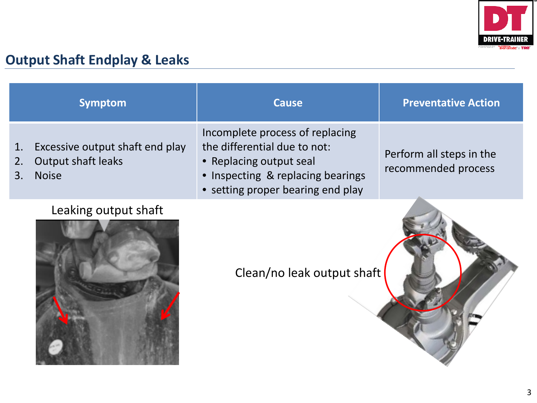

## <span id="page-3-0"></span>**Output Shaft Endplay & Leaks**

|                                | <b>Symptom</b>                                               | <b>Cause</b>                                                                                                                                                         | <b>Preventative Action</b>                      |
|--------------------------------|--------------------------------------------------------------|----------------------------------------------------------------------------------------------------------------------------------------------------------------------|-------------------------------------------------|
| 1.<br>2.<br>3.<br><b>Noise</b> | Excessive output shaft end play<br><b>Output shaft leaks</b> | Incomplete process of replacing<br>the differential due to not:<br>• Replacing output seal<br>• Inspecting & replacing bearings<br>• setting proper bearing end play | Perform all steps in the<br>recommended process |
|                                | Leaking output shaft                                         | Clean/no leak output shaft                                                                                                                                           |                                                 |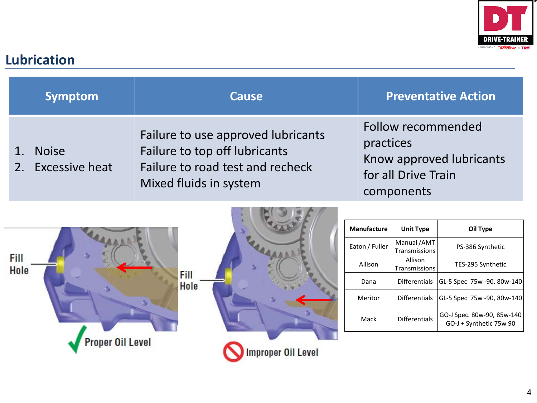

### <span id="page-4-0"></span>**Lubrication**

| <b>Symptom</b>                    | <b>Cause</b>                                                                                                                      | <b>Preventative Action</b>                                                                       |
|-----------------------------------|-----------------------------------------------------------------------------------------------------------------------------------|--------------------------------------------------------------------------------------------------|
| <b>Noise</b><br>2. Excessive heat | Failure to use approved lubricants<br>Failure to top off lubricants<br>Failure to road test and recheck<br>Mixed fluids in system | Follow recommended<br>practices<br>Know approved lubricants<br>for all Drive Train<br>components |



| <b>Manufacture</b> | <b>Unit Type</b>                    | Oil Type                                              |
|--------------------|-------------------------------------|-------------------------------------------------------|
| Eaton / Fuller     | Manual /AMT<br><b>Transmissions</b> | PS-386 Synthetic                                      |
| Allison            | Allison<br><b>Transmissions</b>     | TES-295 Synthetic                                     |
| Dana               | <b>Differentials</b>                | GL-5 Spec 75w -90, 80w-140                            |
| Meritor            | Differentials                       | GL-5 Spec 75w -90, 80w-140                            |
| Mack               | <b>Differentials</b>                | GO-J Spec. 80w-90, 85w-140<br>GO-J + Synthetic 75w 90 |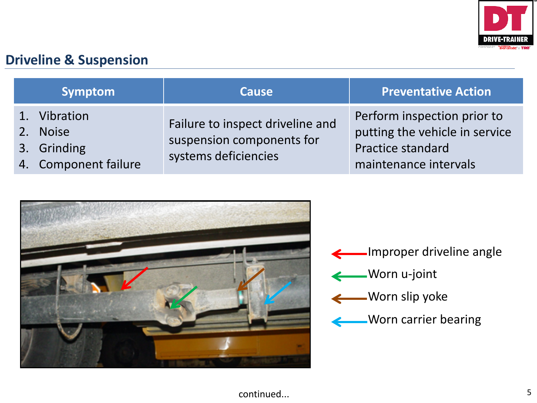

#### <span id="page-5-0"></span>**Driveline & Suspension**

| Symptom                                                         | <b>Cause</b>                                                                          | <b>Preventative Action</b>                                                                                  |
|-----------------------------------------------------------------|---------------------------------------------------------------------------------------|-------------------------------------------------------------------------------------------------------------|
| 1. Vibration<br>2. Noise<br>3. Grinding<br>4. Component failure | Failure to inspect driveline and<br>suspension components for<br>systems deficiencies | Perform inspection prior to<br>putting the vehicle in service<br>Practice standard<br>maintenance intervals |